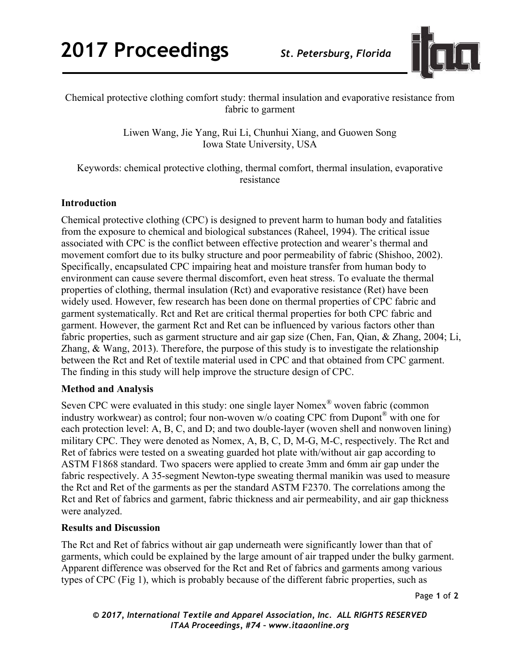

Chemical protective clothing comfort study: thermal insulation and evaporative resistance from fabric to garment

> Liwen Wang, Jie Yang, Rui Li, Chunhui Xiang, and Guowen Song Iowa State University, USA

Keywords: chemical protective clothing, thermal comfort, thermal insulation, evaporative resistance

# **Introduction**

Chemical protective clothing (CPC) is designed to prevent harm to human body and fatalities from the exposure to chemical and biological substances (Raheel, 1994). The critical issue associated with CPC is the conflict between effective protection and wearer's thermal and movement comfort due to its bulky structure and poor permeability of fabric (Shishoo, 2002). Specifically, encapsulated CPC impairing heat and moisture transfer from human body to environment can cause severe thermal discomfort, even heat stress. To evaluate the thermal properties of clothing, thermal insulation (Rct) and evaporative resistance (Ret) have been widely used. However, few research has been done on thermal properties of CPC fabric and garment systematically. Rct and Ret are critical thermal properties for both CPC fabric and garment. However, the garment Rct and Ret can be influenced by various factors other than fabric properties, such as garment structure and air gap size (Chen, Fan, Qian, & Zhang, 2004; Li, Zhang, & Wang, 2013). Therefore, the purpose of this study is to investigate the relationship between the Rct and Ret of textile material used in CPC and that obtained from CPC garment. The finding in this study will help improve the structure design of CPC.

# **Method and Analysis**

Seven CPC were evaluated in this study: one single layer Nomex® woven fabric (common industry workwear) as control; four non-woven w/o coating CPC from Dupont® with one for each protection level: A, B, C, and D; and two double-layer (woven shell and nonwoven lining) military CPC. They were denoted as Nomex, A, B, C, D, M-G, M-C, respectively. The Rct and Ret of fabrics were tested on a sweating guarded hot plate with/without air gap according to ASTM F1868 standard. Two spacers were applied to create 3mm and 6mm air gap under the fabric respectively. A 35-segment Newton-type sweating thermal manikin was used to measure the Rct and Ret of the garments as per the standard ASTM F2370. The correlations among the Rct and Ret of fabrics and garment, fabric thickness and air permeability, and air gap thickness were analyzed.

# **Results and Discussion**

The Rct and Ret of fabrics without air gap underneath were significantly lower than that of garments, which could be explained by the large amount of air trapped under the bulky garment. Apparent difference was observed for the Rct and Ret of fabrics and garments among various types of CPC (Fig 1), which is probably because of the different fabric properties, such as